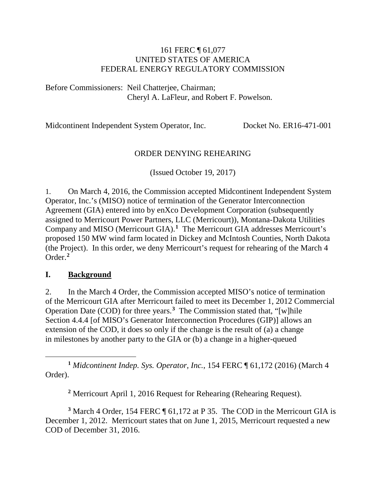#### 161 FERC ¶ 61,077 UNITED STATES OF AMERICA FEDERAL ENERGY REGULATORY COMMISSION

Before Commissioners: Neil Chatterjee, Chairman; Cheryl A. LaFleur, and Robert F. Powelson.

Midcontinent Independent System Operator, Inc. Docket No. ER16-471-001

### ORDER DENYING REHEARING

(Issued October 19, 2017)

1. On March 4, 2016, the Commission accepted Midcontinent Independent System Operator, Inc.'s (MISO) notice of termination of the Generator Interconnection Agreement (GIA) entered into by enXco Development Corporation (subsequently assigned to Merricourt Power Partners, LLC (Merricourt)), Montana-Dakota Utilities Company and MISO (Merricourt GIA).**[1](#page-0-0)** The Merricourt GIA addresses Merricourt's proposed 150 MW wind farm located in Dickey and McIntosh Counties, North Dakota (the Project). In this order, we deny Merricourt's request for rehearing of the March 4 Order.**[2](#page-0-1)**

#### **I. Background**

2. In the March 4 Order, the Commission accepted MISO's notice of termination of the Merricourt GIA after Merricourt failed to meet its December 1, 2012 Commercial Operation Date (COD) for three years. **[3](#page-0-2)** The Commission stated that, "[w]hile Section 4.4.4 [of MISO's Generator Interconnection Procedures (GIP)] allows an extension of the COD, it does so only if the change is the result of (a) a change in milestones by another party to the GIA or (b) a change in a higher-queued

<span id="page-0-0"></span> $\overline{a}$ **<sup>1</sup>** *Midcontinent Indep. Sys. Operator, Inc.*, 154 FERC ¶ 61,172 (2016) (March 4 Order).

**<sup>2</sup>** Merricourt April 1, 2016 Request for Rehearing (Rehearing Request).

<span id="page-0-2"></span><span id="page-0-1"></span>**<sup>3</sup>** March 4 Order, 154 FERC ¶ 61,172 at P 35. The COD in the Merricourt GIA is December 1, 2012. Merricourt states that on June 1, 2015, Merricourt requested a new COD of December 31, 2016.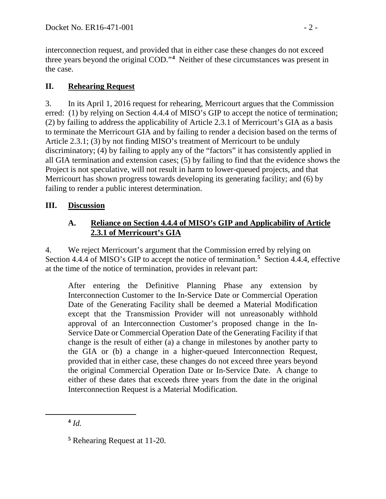interconnection request, and provided that in either case these changes do not exceed three years beyond the original COD."**[4](#page-1-0)** Neither of these circumstances was present in the case.

# **II. Rehearing Request**

3. In its April 1, 2016 request for rehearing, Merricourt argues that the Commission erred: (1) by relying on Section 4.4.4 of MISO's GIP to accept the notice of termination; (2) by failing to address the applicability of Article 2.3.1 of Merricourt's GIA as a basis to terminate the Merricourt GIA and by failing to render a decision based on the terms of Article 2.3.1; (3) by not finding MISO's treatment of Merricourt to be unduly discriminatory; (4) by failing to apply any of the "factors" it has consistently applied in all GIA termination and extension cases; (5) by failing to find that the evidence shows the Project is not speculative, will not result in harm to lower-queued projects, and that Merricourt has shown progress towards developing its generating facility; and (6) by failing to render a public interest determination.

## **III. Discussion**

### **A. Reliance on Section 4.4.4 of MISO's GIP and Applicability of Article 2.3.1 of Merricourt's GIA**

4. We reject Merricourt's argument that the Commission erred by relying on Section 4.4.4 of MISO's GIP to accept the notice of termination.**[5](#page-1-1)** Section 4.4.4, effective at the time of the notice of termination, provides in relevant part:

After entering the Definitive Planning Phase any extension by Interconnection Customer to the In-Service Date or Commercial Operation Date of the Generating Facility shall be deemed a Material Modification except that the Transmission Provider will not unreasonably withhold approval of an Interconnection Customer's proposed change in the In-Service Date or Commercial Operation Date of the Generating Facility if that change is the result of either (a) a change in milestones by another party to the GIA or (b) a change in a higher-queued Interconnection Request, provided that in either case, these changes do not exceed three years beyond the original Commercial Operation Date or In-Service Date. A change to either of these dates that exceeds three years from the date in the original Interconnection Request is a Material Modification.

<span id="page-1-0"></span> $4$   $Id.$ 

<span id="page-1-1"></span>**<sup>5</sup>** Rehearing Request at 11-20.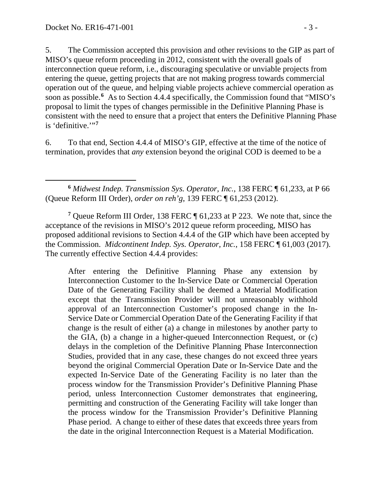5. The Commission accepted this provision and other revisions to the GIP as part of MISO's queue reform proceeding in 2012, consistent with the overall goals of interconnection queue reform, i.e., discouraging speculative or unviable projects from entering the queue, getting projects that are not making progress towards commercial operation out of the queue, and helping viable projects achieve commercial operation as soon as possible.<sup>[6](#page-2-0)</sup> As to Section 4.4.4 specifically, the Commission found that "MISO's proposal to limit the types of changes permissible in the Definitive Planning Phase is consistent with the need to ensure that a project that enters the Definitive Planning Phase is 'definitive.'"<sup>[7](#page-2-1)</sup>

6. To that end, Section 4.4.4 of MISO's GIP, effective at the time of the notice of termination, provides that *any* extension beyond the original COD is deemed to be a

<span id="page-2-0"></span> $\overline{a}$ **<sup>6</sup>** *Midwest Indep. Transmission Sys. Operator, Inc.*, 138 FERC ¶ 61,233, at P 66 (Queue Reform III Order), *order on reh'g*, 139 FERC ¶ 61,253 (2012).

<span id="page-2-1"></span>**<sup>7</sup>** Queue Reform III Order, 138 FERC ¶ 61,233 at P 223. We note that, since the acceptance of the revisions in MISO's 2012 queue reform proceeding, MISO has proposed additional revisions to Section 4.4.4 of the GIP which have been accepted by the Commission. *Midcontinent Indep. Sys. Operator, Inc.*, 158 FERC ¶ 61,003 (2017). The currently effective Section 4.4.4 provides:

After entering the Definitive Planning Phase any extension by Interconnection Customer to the In-Service Date or Commercial Operation Date of the Generating Facility shall be deemed a Material Modification except that the Transmission Provider will not unreasonably withhold approval of an Interconnection Customer's proposed change in the In-Service Date or Commercial Operation Date of the Generating Facility if that change is the result of either (a) a change in milestones by another party to the GIA, (b) a change in a higher-queued Interconnection Request, or (c) delays in the completion of the Definitive Planning Phase Interconnection Studies, provided that in any case, these changes do not exceed three years beyond the original Commercial Operation Date or In-Service Date and the expected In-Service Date of the Generating Facility is no later than the process window for the Transmission Provider's Definitive Planning Phase period, unless Interconnection Customer demonstrates that engineering, permitting and construction of the Generating Facility will take longer than the process window for the Transmission Provider's Definitive Planning Phase period. A change to either of these dates that exceeds three years from the date in the original Interconnection Request is a Material Modification.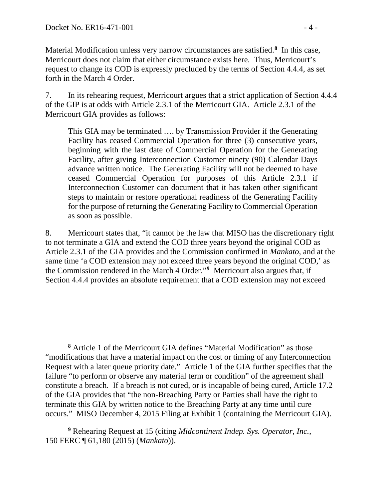$\overline{a}$ 

Material Modification unless very narrow circumstances are satisfied.**[8](#page-3-0)** In this case, Merricourt does not claim that either circumstance exists here. Thus, Merricourt's request to change its COD is expressly precluded by the terms of Section 4.4.4, as set forth in the March 4 Order.

7. In its rehearing request, Merricourt argues that a strict application of Section 4.4.4 of the GIP is at odds with Article 2.3.1 of the Merricourt GIA. Article 2.3.1 of the Merricourt GIA provides as follows:

This GIA may be terminated …. by Transmission Provider if the Generating Facility has ceased Commercial Operation for three (3) consecutive years, beginning with the last date of Commercial Operation for the Generating Facility, after giving Interconnection Customer ninety (90) Calendar Days advance written notice. The Generating Facility will not be deemed to have ceased Commercial Operation for purposes of this Article 2.3.1 if Interconnection Customer can document that it has taken other significant steps to maintain or restore operational readiness of the Generating Facility for the purpose of returning the Generating Facility to Commercial Operation as soon as possible.

8. Merricourt states that, "it cannot be the law that MISO has the discretionary right to not terminate a GIA and extend the COD three years beyond the original COD as Article 2.3.1 of the GIA provides and the Commission confirmed in *Mankato*, and at the same time 'a COD extension may not exceed three years beyond the original COD,' as the Commission rendered in the March 4 Order."**[9](#page-3-1)** Merricourt also argues that, if Section 4.4.4 provides an absolute requirement that a COD extension may not exceed

<span id="page-3-0"></span>**<sup>8</sup>** Article 1 of the Merricourt GIA defines "Material Modification" as those "modifications that have a material impact on the cost or timing of any Interconnection Request with a later queue priority date." Article 1 of the GIA further specifies that the failure "to perform or observe any material term or condition" of the agreement shall constitute a breach. If a breach is not cured, or is incapable of being cured, Article 17.2 of the GIA provides that "the non-Breaching Party or Parties shall have the right to terminate this GIA by written notice to the Breaching Party at any time until cure occurs." MISO December 4, 2015 Filing at Exhibit 1 (containing the Merricourt GIA).

<span id="page-3-1"></span>**<sup>9</sup>** Rehearing Request at 15 (citing *Midcontinent Indep. Sys. Operator, Inc.*, 150 FERC ¶ 61,180 (2015) (*Mankato*)).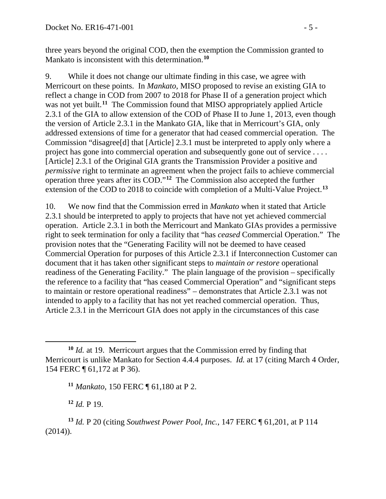three years beyond the original COD, then the exemption the Commission granted to Mankato is inconsistent with this determination.**[10](#page-4-0)**

9. While it does not change our ultimate finding in this case, we agree with Merricourt on these points. In *Mankato*, MISO proposed to revise an existing GIA to reflect a change in COD from 2007 to 2018 for Phase II of a generation project which was not yet built.<sup>[11](#page-4-1)</sup> The Commission found that MISO appropriately applied Article 2.3.1 of the GIA to allow extension of the COD of Phase II to June 1, 2013, even though the version of Article 2.3.1 in the Mankato GIA, like that in Merricourt's GIA, only addressed extensions of time for a generator that had ceased commercial operation. The Commission "disagree[d] that [Article] 2.3.1 must be interpreted to apply only where a project has gone into commercial operation and subsequently gone out of service . . . . [Article] 2.3.1 of the Original GIA grants the Transmission Provider a positive and *permissive* right to terminate an agreement when the project fails to achieve commercial operation three years after its COD."**[12](#page-4-2)** The Commission also accepted the further extension of the COD to 2018 to coincide with completion of a Multi-Value Project. **[13](#page-4-3)**

10. We now find that the Commission erred in *Mankato* when it stated that Article 2.3.1 should be interpreted to apply to projects that have not yet achieved commercial operation. Article 2.3.1 in both the Merricourt and Mankato GIAs provides a permissive right to seek termination for only a facility that "has *ceased* Commercial Operation." The provision notes that the "Generating Facility will not be deemed to have ceased Commercial Operation for purposes of this Article 2.3.1 if Interconnection Customer can document that it has taken other significant steps to *maintain or restore* operational readiness of the Generating Facility." The plain language of the provision – specifically the reference to a facility that "has ceased Commercial Operation" and "significant steps to maintain or restore operational readiness" – demonstrates that Article 2.3.1 was not intended to apply to a facility that has not yet reached commercial operation. Thus, Article 2.3.1 in the Merricourt GIA does not apply in the circumstances of this case

**<sup>12</sup>** *Id.* P 19.

<span id="page-4-1"></span><span id="page-4-0"></span>**<sup>10</sup>** *Id.* at 19. Merricourt argues that the Commission erred by finding that Merricourt is unlike Mankato for Section 4.4.4 purposes. *Id.* at 17 (citing March 4 Order, 154 FERC ¶ 61,172 at P 36).

**<sup>11</sup>** *Mankato*, 150 FERC ¶ 61,180 at P 2.

<span id="page-4-3"></span><span id="page-4-2"></span>**<sup>13</sup>** *Id.* P 20 (citing *Southwest Power Pool, Inc.*, 147 FERC ¶ 61,201, at P 114  $(2014)$ ).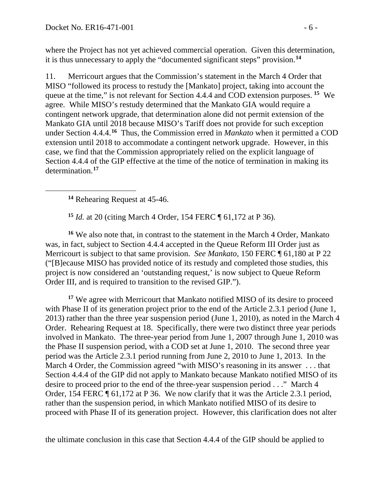where the Project has not yet achieved commercial operation. Given this determination, it is thus unnecessary to apply the "documented significant steps" provision. **[14](#page-5-0)**

11. Merricourt argues that the Commission's statement in the March 4 Order that MISO "followed its process to restudy the [Mankato] project, taking into account the queue at the time," is not relevant for Section 4.4.4 and COD extension purposes. **[15](#page-5-1)** We agree. While MISO's restudy determined that the Mankato GIA would require a contingent network upgrade, that determination alone did not permit extension of the Mankato GIA until 2018 because MISO's Tariff does not provide for such exception under Section 4.4.4.**[16](#page-5-2)** Thus, the Commission erred in *Mankato* when it permitted a COD extension until 2018 to accommodate a contingent network upgrade. However, in this case*,* we find that the Commission appropriately relied on the explicit language of Section 4.4.4 of the GIP effective at the time of the notice of termination in making its determination.**[17](#page-5-3)**

**<sup>14</sup>** Rehearing Request at 45-46.

<span id="page-5-0"></span> $\overline{a}$ 

**<sup>15</sup>** *Id.* at 20 (citing March 4 Order, 154 FERC ¶ 61,172 at P 36).

<span id="page-5-2"></span><span id="page-5-1"></span>**<sup>16</sup>** We also note that, in contrast to the statement in the March 4 Order, Mankato was, in fact, subject to Section 4.4.4 accepted in the Queue Reform III Order just as Merricourt is subject to that same provision. *See Mankato,* 150 FERC ¶ 61,180 at P 22 ("[B]ecause MISO has provided notice of its restudy and completed those studies, this project is now considered an 'outstanding request,' is now subject to Queue Reform Order III, and is required to transition to the revised GIP.").

<span id="page-5-3"></span>**<sup>17</sup>** We agree with Merricourt that Mankato notified MISO of its desire to proceed with Phase II of its generation project prior to the end of the Article 2.3.1 period (June 1, 2013) rather than the three year suspension period (June 1, 2010), as noted in the March 4 Order. Rehearing Request at 18. Specifically, there were two distinct three year periods involved in Mankato. The three-year period from June 1, 2007 through June 1, 2010 was the Phase II suspension period, with a COD set at June 1, 2010. The second three year period was the Article 2.3.1 period running from June 2, 2010 to June 1, 2013. In the March 4 Order, the Commission agreed "with MISO's reasoning in its answer . . . that Section 4.4.4 of the GIP did not apply to Mankato because Mankato notified MISO of its desire to proceed prior to the end of the three-year suspension period . . ." March 4 Order, 154 FERC ¶ 61,172 at P 36. We now clarify that it was the Article 2.3.1 period, rather than the suspension period, in which Mankato notified MISO of its desire to proceed with Phase II of its generation project. However, this clarification does not alter

the ultimate conclusion in this case that Section 4.4.4 of the GIP should be applied to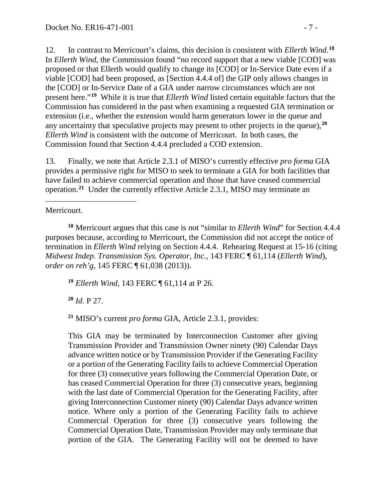12. In contrast to Merricourt's claims, this decision is consistent with *Ellerth Wind*. **[18](#page-6-0)** In *Ellerth Wind,* the Commission found "no record support that a new viable [COD] was proposed or that Ellerth would qualify to change its [COD] or In-Service Date even if a viable [COD] had been proposed, as [Section 4.4.4 of] the GIP only allows changes in the [COD] or In-Service Date of a GIA under narrow circumstances which are not present here."**[19](#page-6-1)** While it is true that *Ellerth Wind* listed certain equitable factors that the Commission has considered in the past when examining a requested GIA termination or extension (i.e., whether the extension would harm generators lower in the queue and any uncertainty that speculative projects may present to other projects in the queue),**[20](#page-6-2)** *Ellerth Wind* is consistent with the outcome of Merricourt. In both cases, the Commission found that Section 4.4.4 precluded a COD extension.

13. Finally, we note that Article 2.3.1 of MISO's currently effective *pro forma* GIA provides a permissive right for MISO to seek to terminate a GIA for both facilities that have failed to achieve commercial operation and those that have ceased commercial operation.**[21](#page-6-3)** Under the currently effective Article 2.3.1, MISO may terminate an

 $\overline{a}$ Merricourt.

<span id="page-6-0"></span>**<sup>18</sup>** Merricourt argues that this case is not "similar to *Ellerth Wind*" for Section 4.4.4 purposes because, according to Merricourt, the Commission did not accept the notice of termination in *Ellerth Wind* relying on Section 4.4.4. Rehearing Request at 15-16 (citing *Midwest Indep. Transmission Sys. Operator, Inc.*, 143 FERC ¶ 61,114 (*Ellerth Wind*), *order on reh'g*, 145 FERC ¶ 61,038 (2013)).

<span id="page-6-1"></span>**<sup>19</sup>** *Ellerth Wind*, 143 FERC ¶ 61,114 at P 26.

<span id="page-6-2"></span>**<sup>20</sup>** *Id.* P 27.

<span id="page-6-3"></span>**<sup>21</sup>** MISO's current *pro forma* GIA, Article 2.3.1, provides:

This GIA may be terminated by Interconnection Customer after giving Transmission Provider and Transmission Owner ninety (90) Calendar Days advance written notice or by Transmission Provider if the Generating Facility or a portion of the Generating Facility fails to achieve Commercial Operation for three (3) consecutive years following the Commercial Operation Date, or has ceased Commercial Operation for three (3) consecutive years, beginning with the last date of Commercial Operation for the Generating Facility, after giving Interconnection Customer ninety (90) Calendar Days advance written notice. Where only a portion of the Generating Facility fails to achieve Commercial Operation for three (3) consecutive years following the Commercial Operation Date, Transmission Provider may only terminate that portion of the GIA. The Generating Facility will not be deemed to have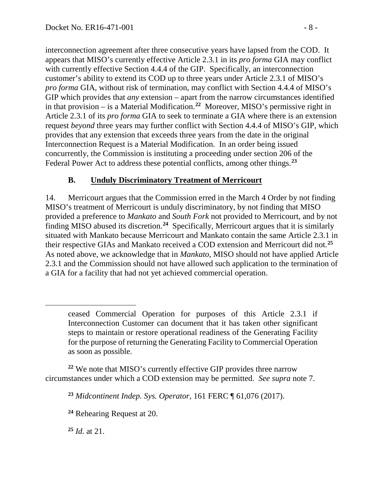interconnection agreement after three consecutive years have lapsed from the COD. It appears that MISO's currently effective Article 2.3.1 in its *pro forma* GIA may conflict with currently effective Section 4.4.4 of the GIP. Specifically, an interconnection customer's ability to extend its COD up to three years under Article 2.3.1 of MISO's *pro forma* GIA, without risk of termination, may conflict with Section 4.4.4 of MISO's GIP which provides that *any* extension – apart from the narrow circumstances identified in that provision – is a Material Modification.**[22](#page-7-0)** Moreover, MISO's permissive right in Article 2.3.1 of its *pro forma* GIA to seek to terminate a GIA where there is an extension request *beyond* three years may further conflict with Section 4.4.4 of MISO's GIP, which provides that any extension that exceeds three years from the date in the original Interconnection Request is a Material Modification. In an order being issued concurrently, the Commission is instituting a proceeding under section 206 of the Federal Power Act to address these potential conflicts, among other things. **[23](#page-7-1)**

## **B. Unduly Discriminatory Treatment of Merricourt**

14. Merricourt argues that the Commission erred in the March 4 Order by not finding MISO's treatment of Merricourt is unduly discriminatory, by not finding that MISO provided a preference to *Mankato* and *South Fork* not provided to Merricourt, and by not finding MISO abused its discretion.**[24](#page-7-2)** Specifically, Merricourt argues that it is similarly situated with Mankato because Merricourt and Mankato contain the same Article 2.3.1 in their respective GIAs and Mankato received a COD extension and Merricourt did not. **[25](#page-7-3)** As noted above, we acknowledge that in *Mankato*, MISO should not have applied Article 2.3.1 and the Commission should not have allowed such application to the termination of a GIA for a facility that had not yet achieved commercial operation.

<span id="page-7-2"></span><span id="page-7-1"></span><span id="page-7-0"></span>**<sup>22</sup>** We note that MISO's currently effective GIP provides three narrow circumstances under which a COD extension may be permitted. *See supra* note 7.

<span id="page-7-3"></span>**<sup>25</sup>** *Id.* at 21.

ceased Commercial Operation for purposes of this Article 2.3.1 if Interconnection Customer can document that it has taken other significant steps to maintain or restore operational readiness of the Generating Facility for the purpose of returning the Generating Facility to Commercial Operation as soon as possible.

**<sup>23</sup>** *Midcontinent Indep. Sys. Operator*, 161 FERC ¶ 61,076 (2017).

**<sup>24</sup>** Rehearing Request at 20.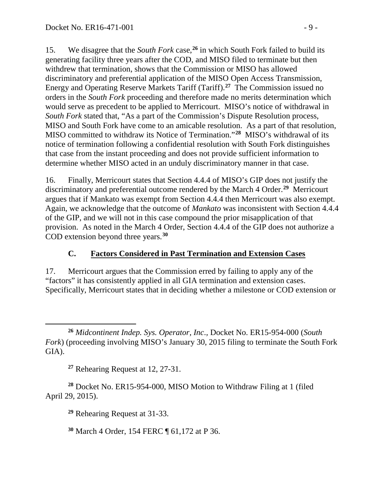15. We disagree that the *South Fork* case,**[26](#page-8-0)** in which South Fork failed to build its generating facility three years after the COD, and MISO filed to terminate but then withdrew that termination, shows that the Commission or MISO has allowed discriminatory and preferential application of the MISO Open Access Transmission, Energy and Operating Reserve Markets Tariff (Tariff). **[27](#page-8-1)** The Commission issued no orders in the *South Fork* proceeding and therefore made no merits determination which would serve as precedent to be applied to Merricourt. MISO's notice of withdrawal in *South Fork* stated that, "As a part of the Commission's Dispute Resolution process, MISO and South Fork have come to an amicable resolution. As a part of that resolution, MISO committed to withdraw its Notice of Termination."**[28](#page-8-2)** MISO's withdrawal of its notice of termination following a confidential resolution with South Fork distinguishes that case from the instant proceeding and does not provide sufficient information to determine whether MISO acted in an unduly discriminatory manner in that case.

16. Finally, Merricourt states that Section 4.4.4 of MISO's GIP does not justify the discriminatory and preferential outcome rendered by the March 4 Order. **[29](#page-8-3)** Merricourt argues that if Mankato was exempt from Section 4.4.4 then Merricourt was also exempt. Again, we acknowledge that the outcome of *Mankato* was inconsistent with Section 4.4.4 of the GIP, and we will not in this case compound the prior misapplication of that provision. As noted in the March 4 Order, Section 4.4.4 of the GIP does not authorize a COD extension beyond three years.**[30](#page-8-4)**

# **C. Factors Considered in Past Termination and Extension Cases**

17. Merricourt argues that the Commission erred by failing to apply any of the "factors" it has consistently applied in all GIA termination and extension cases. Specifically, Merricourt states that in deciding whether a milestone or COD extension or

**<sup>27</sup>** Rehearing Request at 12, 27-31.

<span id="page-8-4"></span><span id="page-8-3"></span><span id="page-8-2"></span><span id="page-8-1"></span>**<sup>28</sup>** Docket No. ER15-954-000, MISO Motion to Withdraw Filing at 1 (filed April 29, 2015).

**<sup>29</sup>** Rehearing Request at 31-33.

**<sup>30</sup>** March 4 Order, 154 FERC ¶ 61,172 at P 36.

<span id="page-8-0"></span> $\overline{a}$ **<sup>26</sup>** *Midcontinent Indep. Sys. Operator, Inc*.*,* Docket No. ER15-954-000 (*South Fork*) (proceeding involving MISO's January 30, 2015 filing to terminate the South Fork GIA).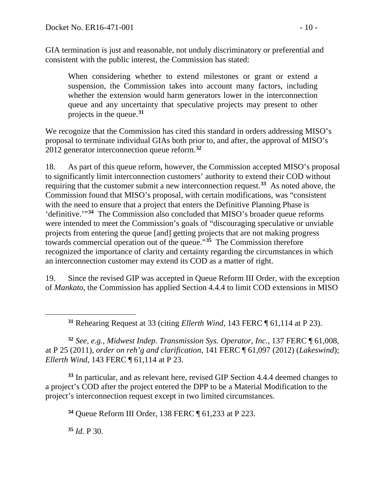GIA termination is just and reasonable, not unduly discriminatory or preferential and consistent with the public interest, the Commission has stated:

When considering whether to extend milestones or grant or extend a suspension, the Commission takes into account many factors, including whether the extension would harm generators lower in the interconnection queue and any uncertainty that speculative projects may present to other projects in the queue.**[31](#page-9-0)**

We recognize that the Commission has cited this standard in orders addressing MISO's proposal to terminate individual GIAs both prior to, and after, the approval of MISO's 2012 generator interconnection queue reform.**[32](#page-9-1)**

18. As part of this queue reform, however, the Commission accepted MISO's proposal to significantly limit interconnection customers' authority to extend their COD without requiring that the customer submit a new interconnection request.**[33](#page-9-2)** As noted above, the Commission found that MISO's proposal, with certain modifications, was "consistent with the need to ensure that a project that enters the Definitive Planning Phase is 'definitive.'"**[34](#page-9-3)** The Commission also concluded that MISO's broader queue reforms were intended to meet the Commission's goals of "discouraging speculative or unviable projects from entering the queue [and] getting projects that are not making progress towards commercial operation out of the queue."**[35](#page-9-4)** The Commission therefore recognized the importance of clarity and certainty regarding the circumstances in which an interconnection customer may extend its COD as a matter of right.

19. Since the revised GIP was accepted in Queue Reform III Order, with the exception of *Mankato*, the Commission has applied Section 4.4.4 to limit COD extensions in MISO

**<sup>31</sup>** Rehearing Request at 33 (citing *Ellerth Wind*, 143 FERC ¶ 61,114 at P 23).

<span id="page-9-1"></span><span id="page-9-0"></span>**<sup>32</sup>** *See, e.g., Midwest Indep. Transmission Sys. Operator, Inc.*, 137 FERC ¶ 61,008, at P 25 (2011)*, order on reh'g and clarification*, 141 FERC ¶ 61,097 (2012) (*Lakeswind*); *Ellerth Wind*, 143 FERC ¶ 61,114 at P 23.

<span id="page-9-3"></span><span id="page-9-2"></span>**<sup>33</sup>** In particular, and as relevant here, revised GIP Section 4.4.4 deemed changes to a project's COD after the project entered the DPP to be a Material Modification to the project's interconnection request except in two limited circumstances.

**<sup>34</sup>** Queue Reform III Order, 138 FERC ¶ 61,233 at P 223.

<span id="page-9-4"></span>**<sup>35</sup>** *Id.* P 30.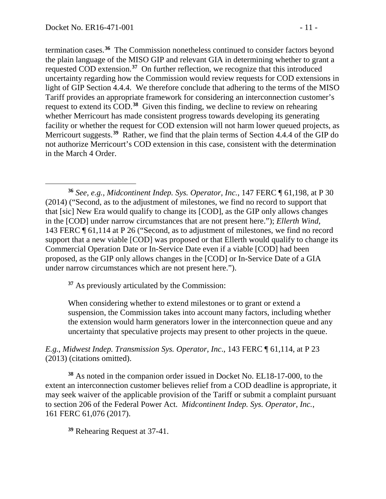termination cases. **[36](#page-10-0)** The Commission nonetheless continued to consider factors beyond the plain language of the MISO GIP and relevant GIA in determining whether to grant a requested COD extension. **[37](#page-10-1)** On further reflection, we recognize that this introduced uncertainty regarding how the Commission would review requests for COD extensions in light of GIP Section 4.4.4. We therefore conclude that adhering to the terms of the MISO Tariff provides an appropriate framework for considering an interconnection customer's request to extend its COD. **[38](#page-10-2)** Given this finding, we decline to review on rehearing whether Merricourt has made consistent progress towards developing its generating facility or whether the request for COD extension will not harm lower queued projects, as Merricourt suggests.**[39](#page-10-3)** Rather, we find that the plain terms of Section 4.4.4 of the GIP do not authorize Merricourt's COD extension in this case, consistent with the determination in the March 4 Order.

<span id="page-10-0"></span> $\overline{a}$ **<sup>36</sup>** *See, e.g., Midcontinent Indep. Sys. Operator, Inc.*, 147 FERC ¶ 61,198, at P 30 (2014) ("Second, as to the adjustment of milestones, we find no record to support that that [sic] New Era would qualify to change its [COD], as the GIP only allows changes in the [COD] under narrow circumstances that are not present here."); *Ellerth Wind*, 143 FERC ¶ 61,114 at P 26 ("Second, as to adjustment of milestones, we find no record support that a new viable [COD] was proposed or that Ellerth would qualify to change its Commercial Operation Date or In-Service Date even if a viable [COD] had been proposed, as the GIP only allows changes in the [COD] or In-Service Date of a GIA under narrow circumstances which are not present here.").

<span id="page-10-1"></span>**<sup>37</sup>** As previously articulated by the Commission:

When considering whether to extend milestones or to grant or extend a suspension, the Commission takes into account many factors, including whether the extension would harm generators lower in the interconnection queue and any uncertainty that speculative projects may present to other projects in the queue.

*E.g.*, *Midwest Indep. Transmission Sys. Operator, Inc*., 143 FERC ¶ 61,114, at P 23 (2013) (citations omitted).

<span id="page-10-2"></span>**<sup>38</sup>** As noted in the companion order issued in Docket No. EL18-17-000, to the extent an interconnection customer believes relief from a COD deadline is appropriate, it may seek waiver of the applicable provision of the Tariff or submit a complaint pursuant to section 206 of the Federal Power Act. *Midcontinent Indep. Sys. Operator, Inc.*, 161 FERC 61,076 (2017).

<span id="page-10-3"></span>**<sup>39</sup>** Rehearing Request at 37-41.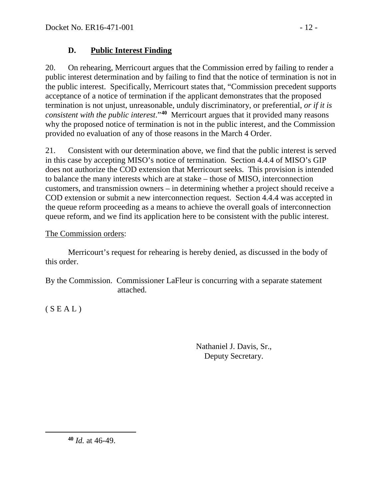## **D. Public Interest Finding**

20. On rehearing, Merricourt argues that the Commission erred by failing to render a public interest determination and by failing to find that the notice of termination is not in the public interest. Specifically, Merricourt states that, "Commission precedent supports acceptance of a notice of termination if the applicant demonstrates that the proposed termination is not unjust, unreasonable, unduly discriminatory, or preferential, *or if it is consistent with the public interest*."**[40](#page-11-0)** Merricourt argues that it provided many reasons why the proposed notice of termination is not in the public interest, and the Commission provided no evaluation of any of those reasons in the March 4 Order.

21. Consistent with our determination above, we find that the public interest is served in this case by accepting MISO's notice of termination. Section 4.4.4 of MISO's GIP does not authorize the COD extension that Merricourt seeks. This provision is intended to balance the many interests which are at stake – those of MISO, interconnection customers, and transmission owners – in determining whether a project should receive a COD extension or submit a new interconnection request. Section 4.4.4 was accepted in the queue reform proceeding as a means to achieve the overall goals of interconnection queue reform, and we find its application here to be consistent with the public interest.

## The Commission orders:

Merricourt's request for rehearing is hereby denied, as discussed in the body of this order.

By the Commission. Commissioner LaFleur is concurring with a separate statement attached.

 $(S E A L)$ 

<span id="page-11-0"></span> $\overline{a}$ 

Nathaniel J. Davis, Sr., Deputy Secretary.

**<sup>40</sup>** *Id.* at 46-49.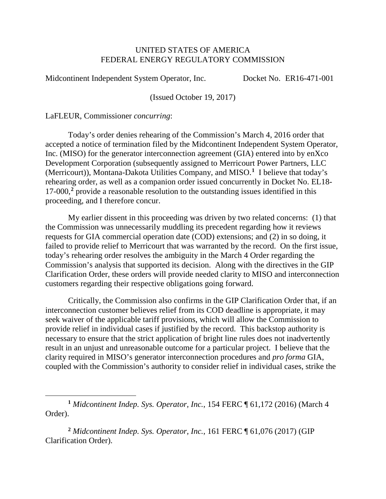#### UNITED STATES OF AMERICA FEDERAL ENERGY REGULATORY COMMISSION

Midcontinent Independent System Operator, Inc. Docket No. ER16-471-001

(Issued October 19, 2017)

LaFLEUR, Commissioner *concurring*:

 $\overline{a}$ 

Today's order denies rehearing of the Commission's March 4, 2016 order that accepted a notice of termination filed by the Midcontinent Independent System Operator, Inc. (MISO) for the generator interconnection agreement (GIA) entered into by enXco Development Corporation (subsequently assigned to Merricourt Power Partners, LLC (Merricourt)), Montana-Dakota Utilities Company, and MISO.**[1](#page-12-0)** I believe that today's rehearing order, as well as a companion order issued concurrently in Docket No. EL18- 17-000,**[2](#page-12-1)** provide a reasonable resolution to the outstanding issues identified in this proceeding, and I therefore concur.

My earlier dissent in this proceeding was driven by two related concerns: (1) that the Commission was unnecessarily muddling its precedent regarding how it reviews requests for GIA commercial operation date (COD) extensions; and (2) in so doing, it failed to provide relief to Merricourt that was warranted by the record. On the first issue, today's rehearing order resolves the ambiguity in the March 4 Order regarding the Commission's analysis that supported its decision. Along with the directives in the GIP Clarification Order, these orders will provide needed clarity to MISO and interconnection customers regarding their respective obligations going forward.

Critically, the Commission also confirms in the GIP Clarification Order that, if an interconnection customer believes relief from its COD deadline is appropriate, it may seek waiver of the applicable tariff provisions, which will allow the Commission to provide relief in individual cases if justified by the record. This backstop authority is necessary to ensure that the strict application of bright line rules does not inadvertently result in an unjust and unreasonable outcome for a particular project. I believe that the clarity required in MISO's generator interconnection procedures and *pro forma* GIA, coupled with the Commission's authority to consider relief in individual cases, strike the

<span id="page-12-0"></span>**<sup>1</sup>** *Midcontinent Indep. Sys. Operator, Inc.*, 154 FERC ¶ 61,172 (2016) (March 4 Order).

<span id="page-12-1"></span>**<sup>2</sup>** *Midcontinent Indep. Sys. Operator, Inc.*, 161 FERC ¶ 61,076 (2017) (GIP Clarification Order).